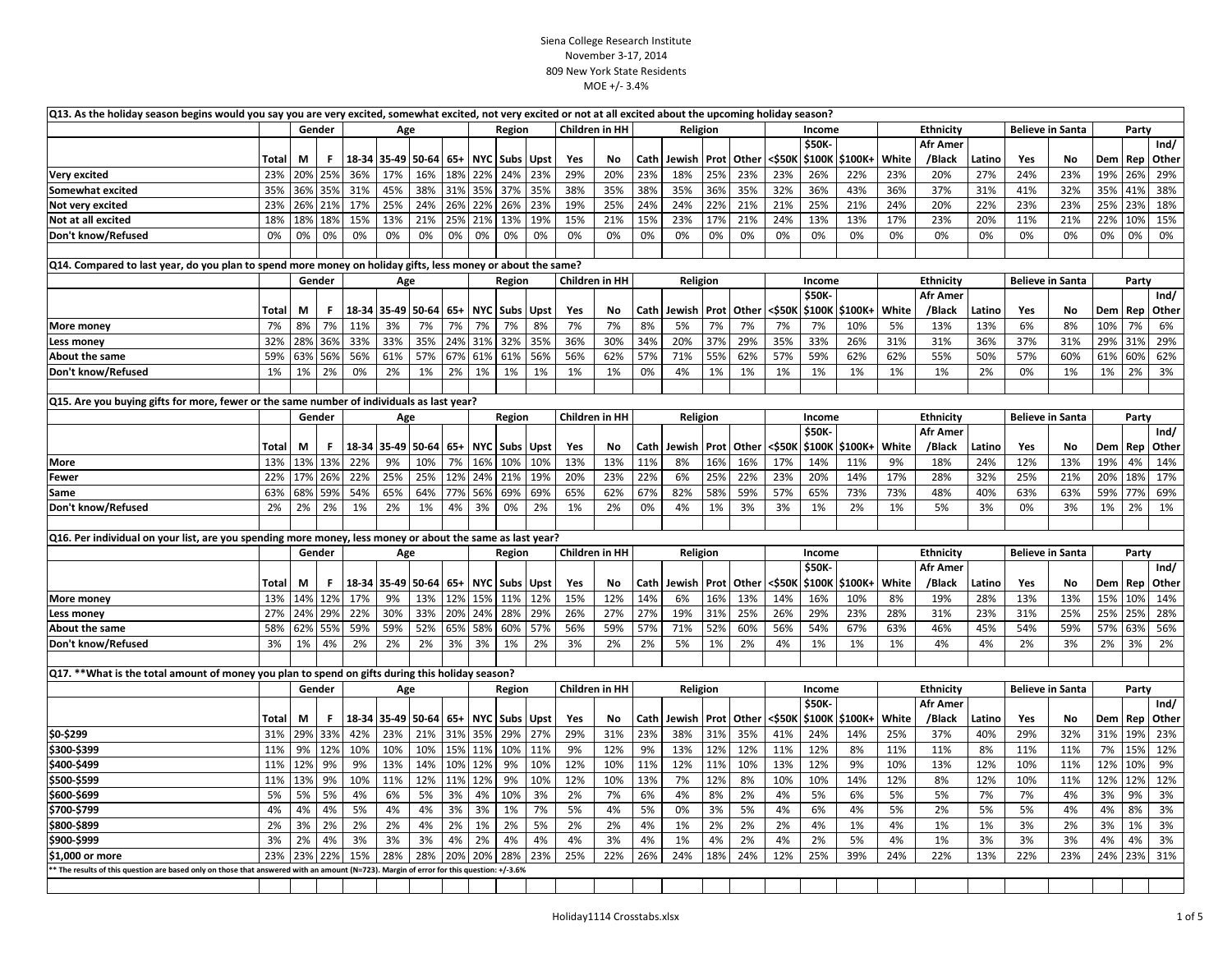| Q13. As the holiday season begins would you say you are very excited, somewhat excited, not very excited or not at all excited about the upcoming holiday season? |               |        |        |     |                       |     |         |            |             |      |                |     |          |          |     |            |        |        |                |                  |                 |                         |                         |     |       |       |           |
|-------------------------------------------------------------------------------------------------------------------------------------------------------------------|---------------|--------|--------|-----|-----------------------|-----|---------|------------|-------------|------|----------------|-----|----------|----------|-----|------------|--------|--------|----------------|------------------|-----------------|-------------------------|-------------------------|-----|-------|-------|-----------|
|                                                                                                                                                                   | Gender<br>Age |        |        |     |                       |     |         | Region     |             |      | Children in HH |     | Religion |          |     |            | Income |        |                | <b>Ethnicity</b> |                 | <b>Believe in Santa</b> |                         |     | Party |       |           |
|                                                                                                                                                                   |               |        |        |     |                       |     |         |            |             |      |                |     |          |          |     |            |        | \$50K- |                |                  | <b>Afr Amer</b> |                         |                         |     |       |       | Ind/      |
|                                                                                                                                                                   | Total         | М      | F      |     | 18-34 35-49 50-64 65+ |     |         |            | NYC Subs    | Upst | Yes            | No  | Cath     | Jewish   |     | Prot Other | <\$50K |        | \$100K \$100K+ | White            | /Black          | Latino                  | Yes                     | No  | Dem   |       | Rep Other |
| <b>Very excited</b>                                                                                                                                               | 23%           | 20%    | 25%    | 36% | 17%                   | 16% | 18%     | 22%        | 24%         | 23%  | 29%            | 20% | 23%      | 18%      | 25% | 23%        | 23%    | 26%    | 22%            | 23%              | 20%             | 27%                     | 24%                     | 23% | 19%   | 26%   | 29%       |
| Somewhat excited                                                                                                                                                  | 35%           | 36%    | 35%    | 31% | 45%                   | 38% | 31%     | 35%        | 37%         | 35%  | 38%            | 35% | 38%      | 35%      | 36% | 35%        | 32%    | 36%    | 43%            | 36%              | 37%             | 31%                     | 41%                     | 32% | 35%   | 41%   | 38%       |
| Not very excited                                                                                                                                                  | 23%           | 26%    | 21%    | 17% | 25%                   | 24% | 26%     | 22%        | 26%         | 23%  | 19%            | 25% | 24%      | 24%      | 22% | 21%        | 21%    | 25%    | 21%            | 24%              | 20%             | 22%                     | 23%                     | 23% | 25%   | 23%   | 18%       |
| Not at all excited                                                                                                                                                | 18%           | 18%    | 18%    | 15% | 13%                   | 21% | 25%     | 21%        | 13%         | 19%  | 15%            | 21% | 15%      | 23%      | 17% | 21%        | 24%    | 13%    | 13%            | 17%              | 23%             | 20%                     | 11%                     | 21% | 22%   | 10%   | 15%       |
| Don't know/Refused                                                                                                                                                | 0%            | 0%     | 0%     | 0%  | 0%                    | 0%  | 0%      | 0%         | 0%          | 0%   | 0%             | 0%  | 0%       | 0%       | 0%  | 0%         | 0%     | 0%     | 0%             | 0%               | 0%              | 0%                      | 0%                      | 0%  | 0%    | 0%    | 0%        |
|                                                                                                                                                                   |               |        |        |     |                       |     |         |            |             |      |                |     |          |          |     |            |        |        |                |                  |                 |                         |                         |     |       |       |           |
| Q14. Compared to last year, do you plan to spend more money on holiday gifts, less money or about the same?                                                       |               |        |        |     |                       |     |         |            |             |      |                |     |          |          |     |            |        |        |                |                  |                 |                         |                         |     |       |       |           |
|                                                                                                                                                                   |               |        | Gender |     | Age                   |     |         |            | Region      |      | Children in HH |     |          | Religion |     |            |        | Income |                |                  | Ethnicity       |                         | <b>Believe in Santa</b> |     |       | Party |           |
|                                                                                                                                                                   |               |        |        |     |                       |     |         |            |             |      |                |     |          |          |     |            |        | \$50K  |                |                  | <b>Afr Amer</b> |                         |                         |     |       |       | Ind/      |
|                                                                                                                                                                   | Total         | М      | F.     |     | 18-34 35-49 50-64     |     | $65+$   |            | NYC Subs    | Upst | Yes            | No  | Cath     | Jewish   |     | Prot Other | <\$50K |        | \$100K \$100K+ | White            | /Black          | Latino                  | Yes                     | No  | Dem   | Rep   | Other     |
| More money                                                                                                                                                        | 7%            | 8%     | 7%     | 11% | 3%                    | 7%  | 7%      | 7%         | 7%          | 8%   | 7%             | 7%  | 8%       | 5%       | 7%  | 7%         | 7%     | 7%     | 10%            | 5%               | 13%             | 13%                     | 6%                      | 8%  | 10%   | 7%    | 6%        |
| Less money                                                                                                                                                        | 32%           | 28%    | 36%    | 33% | 33%                   | 35% | 24%     | 31%        | 32%         | 35%  | 36%            | 30% | 34%      | 20%      | 37% | 29%        | 35%    | 33%    | 26%            | 31%              | 31%             | 36%                     | 37%                     | 31% | 29%   | 31%   | 29%       |
| About the same                                                                                                                                                    | 59%           | 63%    | 56%    | 56% | 61%                   | 57% | 67%     | 61%        | 61%         | 56%  | 56%            | 62% | 57%      | 71%      | 55% | 62%        | 57%    | 59%    | 62%            | 62%              | 55%             | 50%                     | 57%                     | 60% | 61%   | 60%   | 62%       |
| Don't know/Refused                                                                                                                                                | 1%            | 1%     | 2%     | 0%  | 2%                    | 1%  | 2%      | 1%         | 1%          | 1%   | 1%             | 1%  | 0%       | 4%       | 1%  | 1%         | 1%     | 1%     | 1%             | 1%               | 1%              | 2%                      | 0%                      | 1%  | 1%    | 2%    | 3%        |
|                                                                                                                                                                   |               |        |        |     |                       |     |         |            |             |      |                |     |          |          |     |            |        |        |                |                  |                 |                         |                         |     |       |       |           |
| Q15. Are you buying gifts for more, fewer or the same number of individuals as last year?                                                                         |               |        |        |     |                       |     |         |            |             |      |                |     |          |          |     |            |        |        |                |                  |                 |                         |                         |     |       |       |           |
|                                                                                                                                                                   |               |        | Gender |     | Age                   |     |         |            | Region      |      | Children in HH |     |          | Religion |     |            |        | Income |                |                  | Ethnicity       |                         | <b>Believe in Santa</b> |     |       | Party |           |
|                                                                                                                                                                   |               |        |        |     |                       |     |         |            |             |      |                |     |          |          |     |            |        | \$50K- |                |                  | <b>Afr Amer</b> |                         |                         |     |       |       | Ind/      |
|                                                                                                                                                                   | Total         | М      | F.     |     | 18-34 35-49 50-64     |     | $65+$   | <b>NYC</b> | <b>Subs</b> | Upst | Yes            | No  | Cath     | Jewish   |     | Prot Other | <\$50K |        | \$100K \$100K+ | White            | /Black          | Latino                  | Yes                     | No  | Dem   | Rep   | Other     |
| <b>More</b>                                                                                                                                                       | 13%           | 13%    | 13%    | 22% | 9%                    | 10% | 7%      | 16%        | 10%         | 10%  | 13%            | 13% | 11%      | 8%       | 16% | 16%        | 17%    | 14%    | 11%            | 9%               | 18%             | 24%                     | 12%                     | 13% | 19%   | 4%    | 14%       |
| <b>Fewer</b>                                                                                                                                                      | 22%           | 17%    | 26%    | 22% | 25%                   | 25% | 12%     | 24%        | 21%         | 19%  | 20%            | 23% | 22%      | 6%       | 25% | 22%        | 23%    | 20%    | 14%            | 17%              | 28%             | 32%                     | 25%                     | 21% | 20%   | 18%   | 17%       |
| Same                                                                                                                                                              | 63%           | 68%    | 59%    | 54% | 65%                   | 64% | 77%     | 56%        | 69%         | 69%  | 65%            | 62% | 67%      | 82%      | 58% | 59%        | 57%    | 65%    | 73%            | 73%              | 48%             | 40%                     | 63%                     | 63% | 59%   | 77%   | 69%       |
| Don't know/Refused                                                                                                                                                | 2%            | 2%     | 2%     | 1%  | 2%                    | 1%  | 4%      | 3%         | 0%          | 2%   | 1%             | 2%  | 0%       | 4%       | 1%  | 3%         | 3%     | 1%     | 2%             | 1%               | 5%              | 3%                      | 0%                      | 3%  | 1%    | 2%    | 1%        |
|                                                                                                                                                                   |               |        |        |     |                       |     |         |            |             |      |                |     |          |          |     |            |        |        |                |                  |                 |                         |                         |     |       |       |           |
| [Q16. Per individual on your list, are you spending more money, less money or about the same as last year?                                                        |               |        |        |     |                       |     |         |            |             |      |                |     |          |          |     |            |        |        |                |                  |                 |                         |                         |     |       |       |           |
|                                                                                                                                                                   |               | Gender |        |     | Age                   |     |         |            | Region      |      | Children in HH |     |          | Religion |     |            |        | Income |                |                  | Ethnicity       |                         | <b>Believe in Santa</b> |     |       | Party |           |
|                                                                                                                                                                   |               |        |        |     |                       |     |         |            |             |      |                |     |          |          |     |            |        | \$50K- |                |                  | <b>Afr Amer</b> |                         |                         |     |       |       | Ind/      |
|                                                                                                                                                                   | Total         | М      | F.     |     | 18-34 35-49 50-64 65+ |     |         |            | NYC Subs    | Upst | Yes            | No  | Cath     | Jewish   |     | Prot Other | <\$50K |        | \$100K \$100K+ | White            | /Black          | Latino                  | Yes                     | No  | Dem   |       | Rep Other |
| More money                                                                                                                                                        | 13%           | 14%    | 12%    | 17% | 9%                    | 13% | 12%     | 15%        | 11%         | 12%  | 15%            | 12% | 14%      | 6%       | 16% | 13%        | 14%    | 16%    | 10%            | 8%               | 19%             | 28%                     | 13%                     | 13% | 15%   | 10%   | 14%       |
| <b>Less money</b>                                                                                                                                                 | 27%           | 24%    | 29%    | 22% | 30%                   | 33% | 20%     | 24%        | 28%         | 29%  | 26%            | 27% | 27%      | 19%      | 31% | 25%        | 26%    | 29%    | 23%            | 28%              | 31%             | 23%                     | 31%                     | 25% | 25%   | 25%   | 28%       |
| About the same                                                                                                                                                    | 58%           | 62%    | 55%    | 59% | 59%                   | 52% | 65%     | 58%        | 60%         | 57%  | 56%            | 59% | 57%      | 71%      | 52% | 60%        | 56%    | 54%    | 67%            | 63%              | 46%             | 45%                     | 54%                     | 59% | 57%   | 63%   | 56%       |
| Don't know/Refused                                                                                                                                                | 3%            | 1%     | 4%     | 2%  | 2%                    | 2%  | 3%      | 3%         | 1%          | 2%   | 3%             | 2%  | 2%       | 5%       | 1%  | 2%         | 4%     | 1%     | 1%             | 1%               | 4%              | 4%                      | 2%                      | 3%  | 2%    | 3%    | 2%        |
|                                                                                                                                                                   |               |        |        |     |                       |     |         |            |             |      |                |     |          |          |     |            |        |        |                |                  |                 |                         |                         |     |       |       |           |
| Q17. **What is the total amount of money you plan to spend on gifts during this holiday season?                                                                   |               |        |        |     |                       |     |         |            |             |      |                |     |          |          |     |            |        |        |                |                  |                 |                         |                         |     |       |       |           |
|                                                                                                                                                                   |               |        | Gender |     | Age                   |     |         |            | Region      |      | Children in HH |     |          | Religion |     |            |        | Income |                |                  | Ethnicity       |                         | <b>Believe in Santa</b> |     |       | Party |           |
|                                                                                                                                                                   |               |        |        |     |                       |     |         |            |             |      |                |     |          |          |     |            |        | \$50K- |                |                  | <b>Afr Amer</b> |                         |                         |     |       |       | Ind/      |
|                                                                                                                                                                   | Total         | М      | F      |     | 18-34 35-49 50-64 65+ |     |         |            | NYC Subs    | Upst | Yes            | No  | Cath     | Jewish   |     | Prot Other | <\$50K |        | \$100K \$100K+ | White            | /Black          | Latino                  | Yes                     | No  | Dem   |       | Rep Other |
| \$0-\$299                                                                                                                                                         | 31%           | 29%    | 33%    | 42% | 23%                   | 21% |         | 31% 35%    | 29%         | 27%  | 29%            | 31% | 23%      | 38%      | 31% | 35%        | 41%    | 24%    | 14%            | 25%              | 37%             | 40%                     | 29%                     | 32% | 31%   | 19%   | 23%       |
| \$300-\$399                                                                                                                                                       | 11%           | 9%     | 12%    | 10% | 10%                   | 10% | 15%     | 11%        | 10%         | 11%  | 9%             | 12% | 9%       | 13%      | 12% | 12%        | 11%    | 12%    | 8%             | 11%              | 11%             | 8%                      | 11%                     | 11% | 7%    | 15%   | 12%       |
| \$400-\$499                                                                                                                                                       | 11%           | 12%    | 9%     | 9%  | 13%                   | 14% | 10%     | 12%        | 9%          | 10%  | 12%            | 10% | 11%      | 12%      | 11% | 10%        | 13%    | 12%    | 9%             | 10%              | 13%             | 12%                     | 10%                     | 11% | 12%   | 10%   | 9%        |
| \$500-\$599                                                                                                                                                       | 11%           | 13%    | 9%     | 10% | 11%                   | 12% | 11% 12% |            | 9%          | 10%  | 12%            | 10% | 13%      | 7%       | 12% | 8%         | 10%    | 10%    | 14%            | 12%              | 8%              | 12%                     | 10%                     | 11% | 12%   | 12%   | 12%       |
| \$600-\$699                                                                                                                                                       | 5%            | 5%     | 5%     | 4%  | 6%                    | 5%  | 3%      | 4%         | 10%         | 3%   | 2%             | 7%  | 6%       | 4%       | 8%  | 2%         | 4%     | 5%     | 6%             | 5%               | 5%              | 7%                      | 7%                      | 4%  | 3%    | 9%    | 3%        |
| \$700-\$799                                                                                                                                                       | 4%            | 4%     | 4%     | 5%  | 4%                    | 4%  | 3%      | 3%         | 1%          | 7%   | 5%             | 4%  | 5%       | 0%       | 3%  | 5%         | 4%     | 6%     | 4%             | 5%               | 2%              | 5%                      | 5%                      | 4%  | 4%    | 8%    | 3%        |
| \$800-\$899                                                                                                                                                       | 2%            | 3%     | 2%     | 2%  | 2%                    | 4%  | 2%      | 1%         | 2%          | 5%   | 2%             | 2%  | 4%       | 1%       | 2%  | 2%         | 2%     | 4%     | 1%             | 4%               | 1%              | 1%                      | 3%                      | 2%  | 3%    | 1%    | 3%        |
| \$900-\$999                                                                                                                                                       | 3%            | 2%     | 4%     | 3%  | 3%                    | 3%  | 4%      | 2%         | 4%          | 4%   | 4%             | 3%  | 4%       | 1%       | 4%  | 2%         | 4%     | 2%     | 5%             | 4%               | 1%              | 3%                      | 3%                      | 3%  | 4%    | 4%    | 3%        |
| \$1,000 or more                                                                                                                                                   | 23%           | 23%    | 22%    | 15% | 28%                   | 28% | 20%     | 20%        | 28%         | 23%  | 25%            | 22% | 26%      | 24%      | 18% | 24%        | 12%    | 25%    | 39%            | 24%              | 22%             | 13%                     | 22%                     | 23% | 24%   | 23%   | 31%       |
| * The results of this question are based only on those that answered with an amount (N=723). Margin of error for this question: +/-3.6%                           |               |        |        |     |                       |     |         |            |             |      |                |     |          |          |     |            |        |        |                |                  |                 |                         |                         |     |       |       |           |
|                                                                                                                                                                   |               |        |        |     |                       |     |         |            |             |      |                |     |          |          |     |            |        |        |                |                  |                 |                         |                         |     |       |       |           |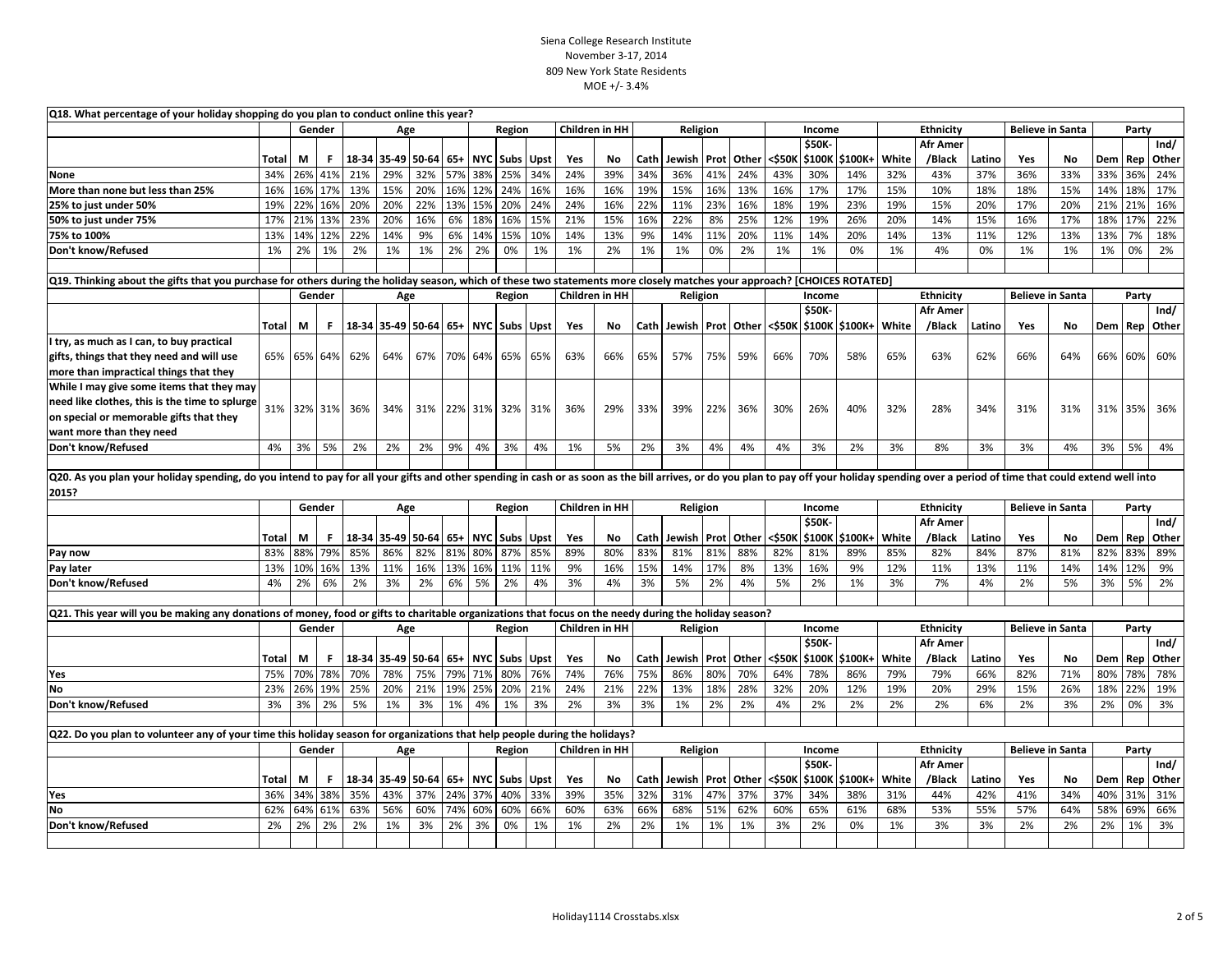| Q18. What percentage of your holiday shopping do you plan to conduct online this year?                                                                                                                                                  |              |        |         |                 |                       |     |       |            |                 |      |     |                       |      |             |     |                   |        |                 |                           |       |                              |        |                         |     |       |       |       |
|-----------------------------------------------------------------------------------------------------------------------------------------------------------------------------------------------------------------------------------------|--------------|--------|---------|-----------------|-----------------------|-----|-------|------------|-----------------|------|-----|-----------------------|------|-------------|-----|-------------------|--------|-----------------|---------------------------|-------|------------------------------|--------|-------------------------|-----|-------|-------|-------|
|                                                                                                                                                                                                                                         |              |        | Gender  |                 | Age                   |     |       |            | Region          |      |     | Children in HH        |      | Religion    |     |                   |        | Income          |                           |       | Ethnicity                    |        | <b>Believe in Santa</b> |     |       | Party |       |
|                                                                                                                                                                                                                                         |              |        |         |                 |                       |     |       |            |                 |      |     |                       |      |             |     |                   |        | \$50K           |                           |       | <b>Afr Amer</b>              |        |                         |     |       |       | Ind/  |
|                                                                                                                                                                                                                                         | Total        | М      | F       |                 | 18-34 35-49 50-64     |     | $65+$ |            | NYC Subs Upst   |      | Yes | No                    | Cath | Jewish      |     | Prot Other        | <\$50K |                 | \$100K \$100K+            | White | /Black                       | Latino | Yes                     | No  | Dem   | Rep   | Other |
| None                                                                                                                                                                                                                                    | 34%          | 26%    | 41%     | 21%             | 29%                   | 32% | 57%   | 38%        | 25%             | 34%  | 24% | 39%                   | 34%  | 36%         | 41% | 24%               | 43%    | 30%             | 14%                       | 32%   | 43%                          | 37%    | 36%                     | 33% | 33%   | 36%   | 24%   |
| More than none but less than 25%                                                                                                                                                                                                        | 16%          | 16%    | 17%     | 13%             | 15%                   | 20% | 16%   | 12%        | 24%             | 16%  | 16% | 16%                   | 19%  | 15%         | 16% | 13%               | 16%    | 17%             | 17%                       | 15%   | 10%                          | 18%    | 18%                     | 15% | 14%   | 18%   | 17%   |
| 25% to just under 50%                                                                                                                                                                                                                   | 19%          | 22%    | 16%     | 20%             | 20%                   | 22% | 13%   | 15%        | 20%             | 24%  | 24% | 16%                   | 22%  | 11%         | 23% | 16%               | 18%    | 19%             | 23%                       | 19%   | 15%                          | 20%    | 17%                     | 20% | 21%   | 21%   | 16%   |
| 50% to just under 75%                                                                                                                                                                                                                   | 17%          | 21%    | 13%     | 23%             | 20%                   | 16% | 6%    | 18%        | 16%             | 15%  | 21% | 15%                   | 16%  | 22%         | 8%  | 25%               | 12%    | 19%             | 26%                       | 20%   | 14%                          | 15%    | 16%                     | 17% | 18%   | 17%   | 22%   |
| 75% to 100%                                                                                                                                                                                                                             | 13%          | 14%    | 12%     | 22%             | 14%                   | 9%  | 6%    | 14%        | 15%             | 10%  | 14% | 13%                   | 9%   | 14%         | 11% | 20%               | 11%    | 14%             | 20%                       | 14%   | 13%                          | 11%    | 12%                     | 13% | 13%   | 7%    | 18%   |
| Don't know/Refused                                                                                                                                                                                                                      | 1%           | 2%     | 1%      | 2%              | 1%                    | 1%  | 2%    | 2%         | 0%              | 1%   | 1%  | 2%                    | 1%   | 1%          | 0%  | 2%                | 1%     | 1%              | 0%                        | 1%    | 4%                           | 0%     | 1%                      | 1%  | 1%    | 0%    | 2%    |
| Q19. Thinking about the gifts that you purchase for others during the holiday season, which of these two statements more closely matches your approach? [CHOICES ROTATED]                                                               |              |        |         |                 |                       |     |       |            |                 |      |     |                       |      |             |     |                   |        |                 |                           |       |                              |        |                         |     |       |       |       |
|                                                                                                                                                                                                                                         |              |        | Gender  |                 | Age                   |     |       |            | Region          |      |     | Children in HH        |      | Religion    |     |                   |        | Income          |                           |       | Ethnicity                    |        | <b>Believe in Santa</b> |     |       | Party |       |
|                                                                                                                                                                                                                                         |              |        |         |                 |                       |     |       |            |                 |      |     |                       |      |             |     |                   |        | \$50K-          |                           |       | <b>Afr Amer</b>              |        |                         |     |       |       | Ind/  |
|                                                                                                                                                                                                                                         | <b>Total</b> | М      | F.      |                 | 18-34 35-49 50-64 65+ |     |       |            | NYC Subs Upst   |      | Yes | No                    |      | Cath Jewish |     | <b>Prot</b> Other |        |                 | <\$50K   \$100K   \$100K+ | White | /Black                       | Latino | Yes                     | No  | Dem   | Rep   | Other |
| I try, as much as I can, to buy practical                                                                                                                                                                                               |              |        |         |                 |                       |     |       |            |                 |      |     |                       |      |             |     |                   |        |                 |                           |       |                              |        |                         |     |       |       |       |
| gifts, things that they need and will use                                                                                                                                                                                               | 65%          |        | 65% 64% | 62%             | 64%                   | 67% | 70%   | 64%        | 65%             | 65%  | 63% | 66%                   | 65%  | 57%         | 75% | 59%               | 66%    | 70%             | 58%                       | 65%   | 63%                          | 62%    | 66%                     | 64% | 66%   | 60%   | 60%   |
| more than impractical things that they                                                                                                                                                                                                  |              |        |         |                 |                       |     |       |            |                 |      |     |                       |      |             |     |                   |        |                 |                           |       |                              |        |                         |     |       |       |       |
| While I may give some items that they may                                                                                                                                                                                               |              |        |         |                 |                       |     |       |            |                 |      |     |                       |      |             |     |                   |        |                 |                           |       |                              |        |                         |     |       |       |       |
| need like clothes, this is the time to splurge                                                                                                                                                                                          |              |        |         | 31% 32% 31% 36% | 34%                   | 31% |       |            | 22% 31% 32% 31% |      | 36% | 29%                   | 33%  | 39%         | 22% | 36%               | 30%    | 26%             | 40%                       | 32%   | 28%                          | 34%    | 31%                     | 31% | 31%   | 35%   | 36%   |
| on special or memorable gifts that they                                                                                                                                                                                                 |              |        |         |                 |                       |     |       |            |                 |      |     |                       |      |             |     |                   |        |                 |                           |       |                              |        |                         |     |       |       |       |
| want more than they need                                                                                                                                                                                                                |              |        |         |                 |                       |     |       |            |                 |      |     |                       |      |             |     |                   |        |                 |                           |       |                              |        |                         |     |       |       |       |
| Don't know/Refused                                                                                                                                                                                                                      | 4%           | 3%     | 5%      | 2%              | 2%                    | 2%  | 9%    | 4%         | 3%              | 4%   | 1%  | 5%                    | 2%   | 3%          | 4%  | 4%                | 4%     | 3%              | 2%                        | 3%    | 8%                           | 3%     | 3%                      | 4%  | 3%    | 5%    | 4%    |
|                                                                                                                                                                                                                                         |              |        |         |                 |                       |     |       |            |                 |      |     |                       |      |             |     |                   |        |                 |                           |       |                              |        |                         |     |       |       |       |
| Q20. As you plan your holiday spending, do you intend to pay for all your gifts and other spending in cash or as soon as the bill arrives, or do you plan to pay off your holiday spending over a period of time that could ex<br>2015? |              |        |         |                 |                       |     |       |            |                 |      |     |                       |      |             |     |                   |        |                 |                           |       |                              |        |                         |     |       |       |       |
|                                                                                                                                                                                                                                         |              |        | Gender  |                 | Age                   |     |       |            | Region          |      |     | <b>Children in HH</b> |      | Religion    |     |                   |        | Income          |                           |       | Ethnicity                    |        | <b>Believe in Santa</b> |     |       | Party |       |
|                                                                                                                                                                                                                                         |              |        |         |                 |                       |     |       |            |                 |      |     |                       |      |             |     |                   |        | \$50K-          |                           |       | <b>Afr Amer</b>              |        |                         |     |       |       | Ind/  |
|                                                                                                                                                                                                                                         | Total        | М      | F       |                 | 18-34 35-49 50-64     |     | 65+   |            | NYC Subs        | Upst | Yes | No                    | Cath | Jewish      |     | <b>Prot</b> Other | <\$50K |                 | \$100K \$100K+            | White | /Black                       | Latino | Yes                     | No  | Dem   | Rep   | Other |
| Pay now                                                                                                                                                                                                                                 | 83%          | 88%    | 79%     | 85%             | 86%                   | 82% | 81%   | 80%        | 87%             | 85%  | 89% | 80%                   | 83%  | 81%         | 81% | 88%               | 82%    | 81%             | 89%                       | 85%   | 82%                          | 84%    | 87%                     | 81% | 82%   | 83%   | 89%   |
| Pay later                                                                                                                                                                                                                               | 13%          | 10%    | 16%     | 13%             | 11%                   | 16% | 13%   | 16%        | 11%             | 11%  | 9%  | 16%                   | 15%  | 14%         | 17% | 8%                | 13%    | 16%             | 9%                        | 12%   | 11%                          | 13%    | 11%                     | 14% | 14%   | 12%   | 9%    |
| Don't know/Refused                                                                                                                                                                                                                      | 4%           | 2%     | 6%      | 2%              | 3%                    | 2%  | 6%    | 5%         | 2%              | 4%   | 3%  | 4%                    | 3%   | 5%          | 2%  | 4%                | 5%     | 2%              | 1%                        | 3%    | 7%                           | 4%     | 2%                      | 5%  | 3%    | 5%    | 2%    |
|                                                                                                                                                                                                                                         |              |        |         |                 |                       |     |       |            |                 |      |     |                       |      |             |     |                   |        |                 |                           |       |                              |        |                         |     |       |       |       |
| Q21. This year will you be making any donations of money, food or gifts to charitable organizations that focus on the needy during the holiday season?                                                                                  |              |        |         |                 |                       |     |       |            |                 |      |     |                       |      |             |     |                   |        |                 |                           |       |                              |        |                         |     |       |       |       |
|                                                                                                                                                                                                                                         |              | Gender |         |                 | Age                   |     |       |            | Region          |      |     | Children in HH        |      | Religion    |     |                   |        | Income<br>\$50K |                           |       | Ethnicity<br><b>Afr Amer</b> |        | <b>Believe in Santa</b> |     |       | Party | Ind/  |
|                                                                                                                                                                                                                                         |              |        |         |                 |                       |     |       |            |                 |      |     |                       |      |             |     |                   |        |                 |                           |       |                              |        |                         |     |       |       |       |
|                                                                                                                                                                                                                                         | Total        | М      | F       |                 | 18-34 35-49 50-64 65+ |     | 79%   |            | NYC Subs Upst   |      | Yes | No                    | Cath | Jewish      |     | Prot Other        | <\$50K |                 | \$100K \$100K+            | White | /Black                       | Latino | Yes                     | No  | Dem   | Rep   | Other |
| Yes                                                                                                                                                                                                                                     | 75%          | 70%    | 78%     | 70%             | 78%                   | 75% |       | 71%        | 80%             | 76%  | 74% | 76%                   | 75%  | 86%         | 80% | 70%               | 64%    | 78%             | 86%                       | 79%   | 79%                          | 66%    | 82%                     | 71% | 80%   | 78%   | 78%   |
| No                                                                                                                                                                                                                                      | 23%          | 26%    | 19%     | 25%             | 20%                   | 21% | 19%   | 25%        | 20%             | 21%  | 24% | 21%                   | 22%  | 13%         | 18% | 28%               | 32%    | 20%             | 12%                       | 19%   | 20%                          | 29%    | 15%                     | 26% | 18%   | 22%   | 19%   |
| Don't know/Refused                                                                                                                                                                                                                      | 3%           | 3%     | 2%      | 5%              | 1%                    | 3%  | 1%    | 4%         | 1%              | 3%   | 2%  | 3%                    | 3%   | 1%          | 2%  | 2%                | 4%     | 2%              | 2%                        | 2%    | 2%                           | 6%     | 2%                      | 3%  | 2%    | 0%    | 3%    |
| Q22. Do you plan to volunteer any of your time this holiday season for organizations that help people during the holidays?                                                                                                              |              |        |         |                 |                       |     |       |            |                 |      |     |                       |      |             |     |                   |        |                 |                           |       |                              |        |                         |     |       |       |       |
|                                                                                                                                                                                                                                         |              | Gender |         | Region<br>Age   |                       |     |       |            |                 |      |     | <b>Children in HH</b> |      | Religion    |     |                   |        | Income          |                           |       | <b>Ethnicity</b>             |        | <b>Believe in Santa</b> |     | Party |       |       |
|                                                                                                                                                                                                                                         |              |        |         |                 |                       |     |       |            |                 |      |     |                       |      |             |     |                   |        | \$50K-          |                           |       | <b>Afr Amer</b>              |        |                         |     |       |       | Ind/  |
|                                                                                                                                                                                                                                         | Total        | M      | F.      |                 | 18-34 35-49 50-64     |     | $65+$ | <b>NYC</b> | <b>Subs</b>     | Upst | Yes | No                    | Cath | Jewish      |     | Prot Other        | <\$50K |                 | \$100K \$100K+            | White | /Black                       | Latino | Yes                     | No  | Dem   | Rep   | Other |
| Yes                                                                                                                                                                                                                                     | 36%          | 34%    | 38%     | 35%             | 43%                   | 37% | 24%   | 37%        | 40%             | 33%  | 39% | 35%                   | 32%  | 31%         | 47% | 37%               | 37%    | 34%             | 38%                       | 31%   | 44%                          | 42%    | 41%                     | 34% | 40%   | 31%   | 31%   |
| No                                                                                                                                                                                                                                      | 62%          | 64%    | 61%     | 63%             | 56%                   | 60% | 74%   | 60%        | 60%             | 66%  | 60% | 63%                   | 66%  | 68%         | 51% | 62%               | 60%    | 65%             | 61%                       | 68%   | 53%                          | 55%    | 57%                     | 64% | 58%   | 69%   | 66%   |
| Don't know/Refused                                                                                                                                                                                                                      | 2%           | 2%     | 2%      | 2%              | 1%                    | 3%  | 2%    | 3%         | 0%              | 1%   | 1%  | 2%                    | 2%   | 1%          | 1%  | 1%                | 3%     | 2%              | 0%                        | 1%    | 3%                           | 3%     | 2%                      | 2%  | 2%    | 1%    | 3%    |
|                                                                                                                                                                                                                                         |              |        |         |                 |                       |     |       |            |                 |      |     |                       |      |             |     |                   |        |                 |                           |       |                              |        |                         |     |       |       |       |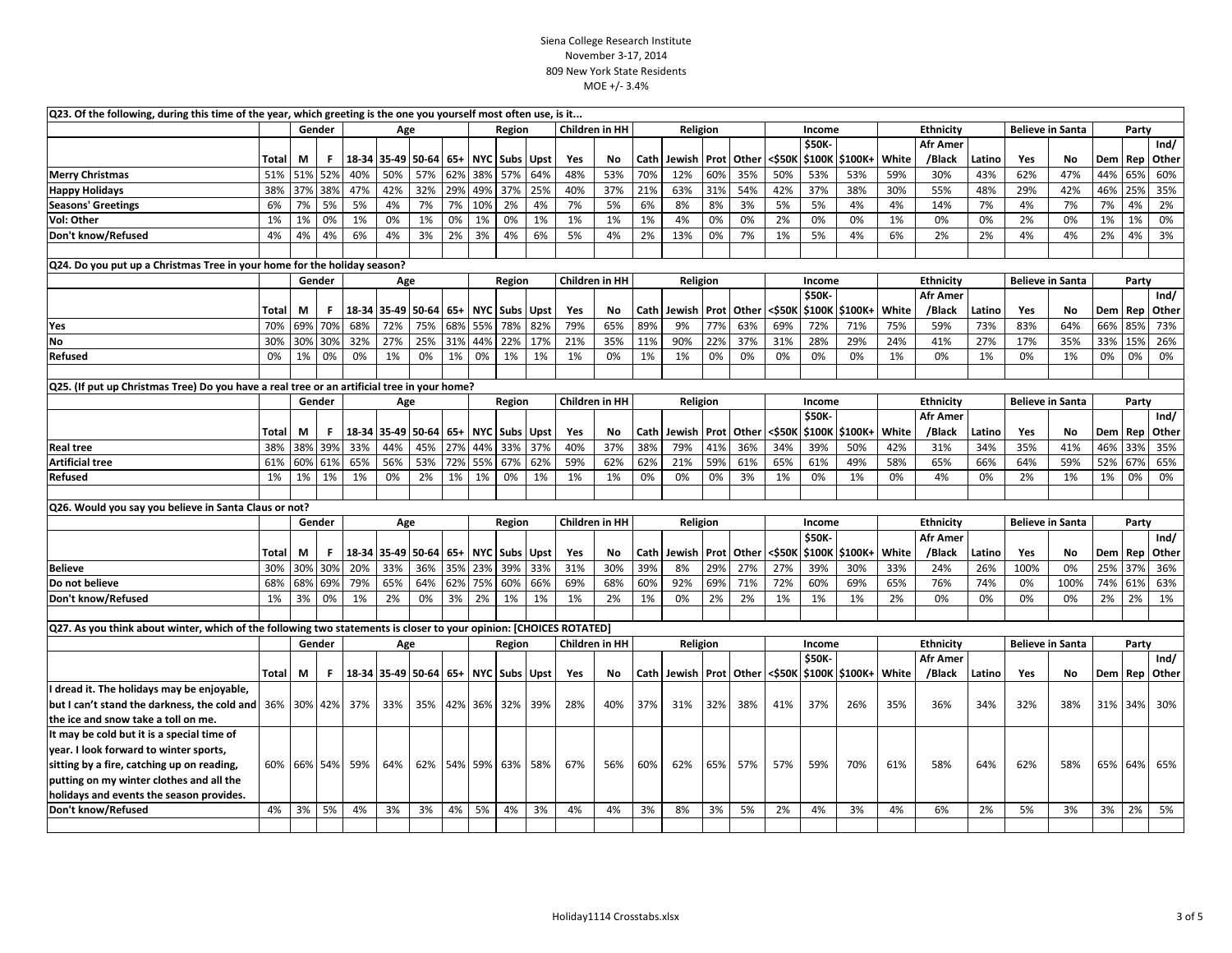| Q23. Of the following, during this time of the year, which greeting is the one you yourself most often use, is it  |       |     |             |     |                       |     |         |                                 |                      |      |     |                       |        |             |             |       |        |              |                     |       |                  |        |                         |                         |     |       |       |
|--------------------------------------------------------------------------------------------------------------------|-------|-----|-------------|-----|-----------------------|-----|---------|---------------------------------|----------------------|------|-----|-----------------------|--------|-------------|-------------|-------|--------|--------------|---------------------|-------|------------------|--------|-------------------------|-------------------------|-----|-------|-------|
|                                                                                                                    |       |     | Gender      | Age |                       |     |         |                                 | Region               |      |     | <b>Children in HH</b> |        | Religion    |             |       |        | Income       |                     |       | Ethnicity        |        | <b>Believe in Santa</b> | Party                   |     |       |       |
|                                                                                                                    |       |     |             |     |                       |     |         |                                 |                      |      |     |                       |        |             |             |       |        | \$50K        |                     |       | <b>Afr Amer</b>  |        |                         |                         |     |       | Ind/  |
|                                                                                                                    | Total | М   | F           |     | 18-34 35-49 50-64     |     | $65+$   |                                 | <b>NYC</b> Subs Upst |      | Yes | No                    | Cath   | Jewish Prot |             | Other | <\$50K |              | \$100K \$100K+      | White | /Black           | Latino | Yes                     | No                      | Dem | Rep   | Other |
| <b>Merry Christmas</b>                                                                                             | 51%   |     | 51% 52%     | 40% | 50%                   | 57% | 62%     | 38%                             | 57%                  | 64%  | 48% | 53%                   | 70%    | 12%         | 60%         | 35%   | 50%    | 53%          | 53%                 | 59%   | 30%              | 43%    | 62%                     | 47%                     | 44% | 65%   | 60%   |
| <b>Happy Holidays</b>                                                                                              | 38%   |     | 37% 38%     | 47% | 42%                   | 32% | 29%     | 49%                             | 37%                  | 25%  | 40% | 37%                   | 21%    | 63%         | 31%         | 54%   | 42%    | 37%          | 38%                 | 30%   | 55%              | 48%    | 29%                     | 42%                     | 46% | 25%   | 35%   |
| <b>Seasons' Greetings</b>                                                                                          | 6%    | 7%  | 5%          | 5%  | 4%                    | 7%  | 7%      | 10%                             | 2%                   | 4%   | 7%  | 5%                    | 6%     | 8%          | 8%          | 3%    | 5%     | 5%           | 4%                  | 4%    | 14%              | 7%     | 4%                      | 7%                      | 7%  | 4%    | 2%    |
| Vol: Other                                                                                                         | 1%    | 1%  | 0%          | 1%  | 0%                    | 1%  | 0%      | 1%                              | 0%                   | 1%   | 1%  | 1%                    | 1%     | 4%          | 0%          | 0%    | 2%     | 0%           | 0%                  | 1%    | 0%               | 0%     | 2%                      | 0%                      | 1%  | 1%    | 0%    |
| Don't know/Refused                                                                                                 | 4%    | 4%  | 4%          | 6%  | 4%                    | 3%  | 2%      | 3%                              | 4%                   | 6%   | 5%  | 4%                    | 2%     | 13%         | 0%          | 7%    | 1%     | 5%           | 4%                  | 6%    | 2%               | 2%     | 4%                      | 4%                      | 2%  | 4%    | 3%    |
|                                                                                                                    |       |     |             |     |                       |     |         |                                 |                      |      |     |                       |        |             |             |       |        |              |                     |       |                  |        |                         |                         |     |       |       |
| Q24. Do you put up a Christmas Tree in your home for the holiday season?                                           |       |     |             |     |                       |     |         |                                 |                      |      |     |                       |        |             |             |       |        |              |                     |       |                  |        |                         |                         |     |       |       |
|                                                                                                                    |       |     | Gender      |     | Age                   |     |         |                                 | Region               |      |     | Children in HH        |        | Religion    |             |       |        | Income       |                     |       | <b>Ethnicity</b> |        | <b>Believe in Santa</b> |                         |     | Party |       |
|                                                                                                                    |       |     |             |     |                       |     |         |                                 |                      |      |     |                       |        |             |             |       |        | \$50K        |                     |       | <b>Afr Amer</b>  |        |                         |                         |     |       | Ind/  |
|                                                                                                                    | Total | М   | F           |     | 18-34 35-49 50-64 65+ |     |         |                                 | NYC Subs Upst        |      | Yes | No                    | Cath   | Jewish Prot |             | Other | <\$50K |              | \$100K \$100K+      | White | /Black           | Latino | Yes                     | No                      | Dem | Rep   | Other |
| Yes                                                                                                                | 70%   | 69% | 70%         | 68% | 72%                   | 75% | 68%     | 55%                             | 78%                  | 82%  | 79% | 65%                   | 89%    | 9%          | 77%         | 63%   | 69%    | 72%          | 71%                 | 75%   | 59%              | 73%    | 83%                     | 64%                     | 66% | 85%   | 73%   |
| <b>No</b>                                                                                                          | 30%   | 30% | 30%         | 32% | 27%                   | 25% | 31%     | 44%                             | 22%                  | 17%  | 21% | 35%                   | 11%    | 90%         | 22%         | 37%   | 31%    | 28%          | 29%                 | 24%   | 41%              | 27%    | 17%                     | 35%                     | 33% | 15%   | 26%   |
| Refused                                                                                                            | 0%    | 1%  | 0%          | 0%  | 1%                    | 0%  | 1%      | 0%                              | 1%                   | 1%   | 1%  | 0%                    | 1%     | 1%          | 0%          | 0%    | 0%     | 0%           | 0%                  | 1%    | 0%               | 1%     | 0%                      | 1%                      | 0%  | 0%    | 0%    |
|                                                                                                                    |       |     |             |     |                       |     |         |                                 |                      |      |     |                       |        |             |             |       |        |              |                     |       |                  |        |                         |                         |     |       |       |
| Q25. (If put up Christmas Tree) Do you have a real tree or an artificial tree in your home?                        |       |     |             |     |                       |     |         |                                 |                      |      |     |                       |        |             |             |       |        |              |                     |       |                  |        |                         |                         |     |       |       |
|                                                                                                                    |       |     | Gender      |     | Age                   |     |         |                                 | Region               |      |     | <b>Children in HH</b> |        | Religion    |             |       |        | Income       |                     |       | <b>Ethnicity</b> |        | <b>Believe in Santa</b> |                         |     | Party |       |
|                                                                                                                    |       |     |             |     |                       |     |         |                                 |                      |      |     |                       |        |             |             |       |        | \$50K-       |                     |       | <b>Afr Amer</b>  |        |                         |                         |     |       | Ind/  |
|                                                                                                                    | Total | М   | F           |     | 18-34 35-49 50-64 65+ |     |         | <b>NYC</b>                      | <b>Subs</b>          | Upst | Yes | No.                   | Cath   | Jewish      | Prot        | Other | <\$50K | \$100K       | \$100K+             | White | /Black           | Latino | Yes                     | No                      | Dem | Rep   | Other |
| <b>Real tree</b>                                                                                                   | 38%   | 38% | 39%         | 33% | 44%                   | 45% | 27%     | 44%                             | 33%                  | 37%  | 40% | 37%                   | 38%    | 79%         | 41%         | 36%   | 34%    | 39%          | 50%                 | 42%   | 31%              | 34%    | 35%                     | 41%                     | 46% | 33%   | 35%   |
| <b>Artificial tree</b>                                                                                             | 61%   | 60% | 61%         | 65% | 56%                   | 53% | 72%     | 55%                             | 67%                  | 62%  | 59% | 62%                   | 62%    | 21%         | 59%         | 61%   | 65%    | 61%          | 49%                 | 58%   | 65%              | 66%    | 64%                     | 59%                     | 52% | 67%   | 65%   |
| <b>Refused</b>                                                                                                     | 1%    | 1%  | 1%          | 1%  | 0%                    | 2%  | 1%      | 1%                              | 0%                   | 1%   | 1%  | 1%                    | 0%     | 0%          | 0%          | 3%    | 1%     | 0%           | 1%                  | 0%    | 4%               | 0%     | 2%                      | 1%                      | 1%  | 0%    | 0%    |
|                                                                                                                    |       |     |             |     |                       |     |         |                                 |                      |      |     |                       |        |             |             |       |        |              |                     |       |                  |        |                         |                         |     |       |       |
| Q26. Would you say you believe in Santa Claus or not?                                                              |       |     |             |     |                       |     |         |                                 |                      |      |     |                       |        |             |             |       |        |              |                     |       |                  |        |                         |                         |     |       |       |
|                                                                                                                    |       |     | Gender      |     | Age                   |     |         | <b>Children in HH</b><br>Region |                      |      |     |                       |        | Religion    |             |       |        | Income       |                     |       | <b>Ethnicity</b> |        | <b>Believe in Santa</b> |                         |     | Party |       |
|                                                                                                                    |       |     |             |     |                       |     |         |                                 |                      |      |     |                       |        |             |             |       |        | <b>\$50K</b> |                     |       | <b>Afr Amer</b>  |        |                         |                         |     |       | Ind/  |
|                                                                                                                    | Total | M   | F.          |     | 18-34 35-49 50-64 65+ |     |         |                                 | NYC Subs Upst        |      | Yes | No.                   | Cath   | Jewish Prot |             | Other | <\$50K | \$100K       | \$100K+             | White | /Black           | Latino | Yes                     | No                      | Dem | Rep   | Other |
| <b>Believe</b>                                                                                                     | 30%   | 30% | 30%         | 20% | 33%                   | 36% | 35%     | 23%                             | 39%                  | 33%  | 31% | 30%                   | 39%    | 8%          | 29%         | 27%   | 27%    | 39%          | 30%                 | 33%   | 24%              | 26%    | 100%                    | 0%                      | 25% | 37%   | 36%   |
| Do not believe                                                                                                     | 68%   | 68% | 69%         | 79% | 65%                   | 64% | 62%     | 75%                             | 60%                  | 66%  | 69% | 68%                   | 60%    | 92%         | 69%         | 71%   | 72%    | 60%          | 69%                 | 65%   | 76%              | 74%    | 0%                      | 100%                    | 74% | 61%   | 63%   |
| Don't know/Refused                                                                                                 | 1%    | 3%  | 0%          | 1%  | 2%                    | 0%  | 3%      | 2%                              | 1%                   | 1%   | 1%  | 2%                    | 1%     | 0%          | 2%          | 2%    | 1%     | 1%           | 1%                  | 2%    | 0%               | 0%     | 0%                      | 0%                      | 2%  | 2%    | 1%    |
|                                                                                                                    |       |     |             |     |                       |     |         |                                 |                      |      |     |                       |        |             |             |       |        |              |                     |       |                  |        |                         |                         |     |       |       |
| Q27. As you think about winter, which of the following two statements is closer to your opinion: [CHOICES ROTATED] |       |     |             |     |                       |     |         |                                 |                      |      |     |                       |        |             |             |       |        |              |                     |       |                  |        |                         |                         |     |       |       |
|                                                                                                                    |       |     | Gender      |     | Age                   |     |         |                                 | Region               |      |     | Children in HH        |        | Religion    |             |       |        | Income       |                     |       | <b>Ethnicity</b> |        |                         | <b>Believe in Santa</b> |     | Party |       |
|                                                                                                                    |       |     |             |     |                       |     |         |                                 |                      |      |     |                       |        |             |             |       |        | \$50K        |                     |       | <b>Afr Amer</b>  |        |                         |                         |     |       | Ind/  |
|                                                                                                                    | Total | М   | F.          |     | 18-34 35-49 50-64 65+ |     |         |                                 | NYC   Subs   Upst    |      | Yes | No                    | Cath I | Jewish      | <b>Prot</b> | Other | <\$50K |              | <b>S100K S100K+</b> | White | /Black           | Latino | Yes                     | No                      | Dem | Rep   | Other |
| I dread it. The holidays may be enjoyable,                                                                         |       |     |             |     |                       |     |         |                                 |                      |      |     |                       |        |             |             |       |        |              |                     |       |                  |        |                         |                         |     |       |       |
| but I can't stand the darkness, the cold and 36% 30% 42%                                                           |       |     |             | 37% | 33%                   |     | 35% 42% |                                 | 36% 32%              | 39%  | 28% | 40%                   | 37%    | 31%         | 32%         | 38%   | 41%    | 37%          | 26%                 | 35%   | 36%              | 34%    | 32%                     | 38%                     | 31% | 34%   | 30%   |
| the ice and snow take a toll on me.                                                                                |       |     |             |     |                       |     |         |                                 |                      |      |     |                       |        |             |             |       |        |              |                     |       |                  |        |                         |                         |     |       |       |
| It may be cold but it is a special time of                                                                         |       |     |             |     |                       |     |         |                                 |                      |      |     |                       |        |             |             |       |        |              |                     |       |                  |        |                         |                         |     |       |       |
| year. I look forward to winter sports,                                                                             |       |     |             |     |                       |     |         |                                 |                      |      |     |                       |        |             |             |       |        |              |                     |       |                  |        |                         |                         |     |       |       |
| sitting by a fire, catching up on reading,                                                                         |       |     | 60% 66% 54% | 59% | 64%                   |     |         |                                 | 62% 54% 59% 63%      | 58%  | 67% | 56%                   | 60%    | 62%         | 65%         | 57%   | 57%    | 59%          | 70%                 | 61%   | 58%              | 64%    | 62%                     | 58%                     | 65% | 64%   | 65%   |
| putting on my winter clothes and all the                                                                           |       |     |             |     |                       |     |         |                                 |                      |      |     |                       |        |             |             |       |        |              |                     |       |                  |        |                         |                         |     |       |       |
| holidays and events the season provides.                                                                           |       |     |             |     |                       |     |         |                                 |                      |      |     |                       |        |             |             |       |        |              |                     |       |                  |        |                         |                         |     |       |       |
| Don't know/Refused                                                                                                 | 4%    | 3%  | 5%          | 4%  | 3%                    | 3%  | 4%      | 5%                              | 4%                   | 3%   | 4%  | 4%                    | 3%     | 8%          | 3%          | 5%    | 2%     | 4%           | 3%                  | 4%    | 6%               | 2%     | 5%                      | 3%                      | 3%  | 2%    | 5%    |
|                                                                                                                    |       |     |             |     |                       |     |         |                                 |                      |      |     |                       |        |             |             |       |        |              |                     |       |                  |        |                         |                         |     |       |       |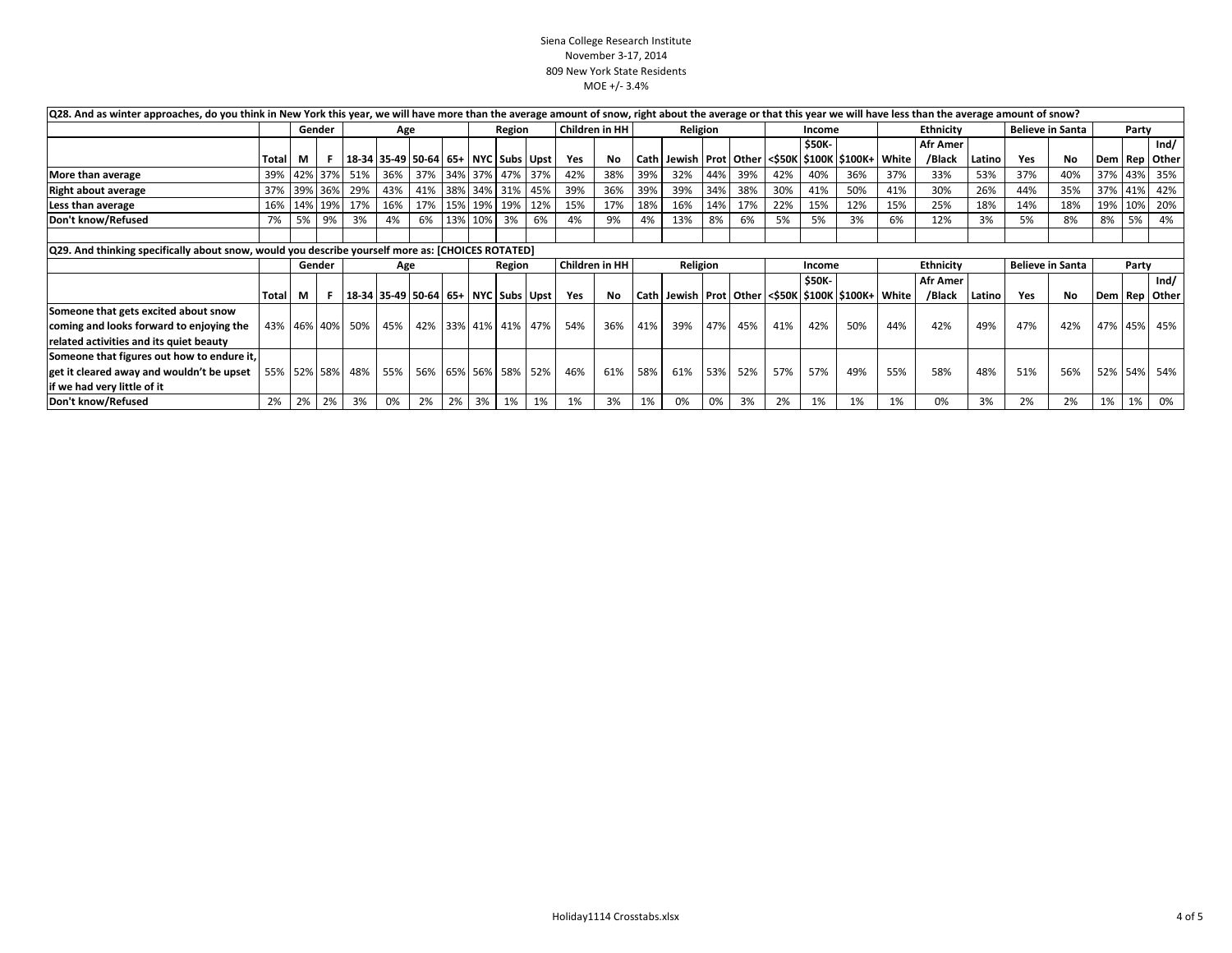| Q28. And as winter approaches, do you think in New York this year, we will have more than the average amount of snow, right about the average or that this year we will have less than the average amount of snow? |              |    |             |                 |                                                 |                         |    |             |        |         |     |                |          |          |     |        |               |               |                                                                   |           |                 |                         |                         |           |         |      |                   |
|--------------------------------------------------------------------------------------------------------------------------------------------------------------------------------------------------------------------|--------------|----|-------------|-----------------|-------------------------------------------------|-------------------------|----|-------------|--------|---------|-----|----------------|----------|----------|-----|--------|---------------|---------------|-------------------------------------------------------------------|-----------|-----------------|-------------------------|-------------------------|-----------|---------|------|-------------------|
|                                                                                                                                                                                                                    |              |    | Gender      | Age             |                                                 |                         |    |             | Region |         |     | Children in HH |          | Religion |     |        |               | Income        |                                                                   | Ethnicity |                 |                         | <b>Believe in Santa</b> |           | Party   |      |                   |
|                                                                                                                                                                                                                    |              |    |             |                 |                                                 |                         |    |             |        |         |     |                |          |          |     |        | <b>\$50K-</b> |               | <b>Afr Amer</b>                                                   |           |                 |                         |                         |           |         | Ind/ |                   |
|                                                                                                                                                                                                                    | <b>Total</b> | M  |             |                 | 18-34   35-49   50-64   65+   NYC   Subs   Upst |                         |    |             |        |         | Yes | No             |          |          |     |        |               |               | Cath   Jewish   Prot   Other   <\$50K   \$100K   \$100K +   White |           | /Black          | Latino                  | Yes                     | <b>No</b> |         |      | Dem   Rep   Other |
| More than average                                                                                                                                                                                                  |              |    |             | 39% 42% 37% 51% |                                                 | 36% 37% 34% 37% 47% 37% |    |             |        |         | 42% | 38%            | 39%      | 32%      | 44% | 39%    | 42%           | 40%           | 36%                                                               | 37%       | 33%             | 53%                     | 37%                     | 40%       |         |      | 37% 43% 35%       |
| Right about average                                                                                                                                                                                                |              |    | 37% 39% 36% | 29%             | 43%                                             | 41% 38% 34%             |    |             |        | 31% 45% | 39% | 36%            | 39%      | 39%      | 34% | 38%    | 30%           | 41%           | 50%                                                               | 41%       | 30%             | 26%                     | 44%                     | 35%       | 37% 41% |      | 42%               |
| Less than average                                                                                                                                                                                                  | 16%          |    | 14% 19%     | 17%             | 16%                                             |                         |    | 17% 15% 19% |        | 19% 12% | 15% | 17%            | 18%      | 16%      | 14% | 17%    | 22%           | 15%           | 12%                                                               | 15%       | 25%             | 18%                     | 14%                     | 18%       | 19%     | 10%  | 20%               |
| Don't know/Refused                                                                                                                                                                                                 | 7%           | 5% | 9%          | 3%              | 4%                                              |                         |    | 6% 13% 10%  | 3%     | 6%      | 4%  | 9%             | 4%       | 13%      | 8%  | 6%     | 5%            | 5%            | 3%                                                                | 6%        | 12%             | 3%                      | 5%                      | 8%        | 8%      | 5%   | 4%                |
|                                                                                                                                                                                                                    |              |    |             |                 |                                                 |                         |    |             |        |         |     |                |          |          |     |        |               |               |                                                                   |           |                 |                         |                         |           |         |      |                   |
| [Q29. And thinking specifically about snow, would you describe yourself more as: [CHOICES ROTATED]                                                                                                                 |              |    |             |                 |                                                 |                         |    |             |        |         |     |                |          |          |     |        |               |               |                                                                   |           |                 |                         |                         |           |         |      |                   |
|                                                                                                                                                                                                                    |              |    | Gender      | Age             |                                                 |                         |    | Region      |        |         |     | Children in HH | Religion |          |     | Income |               |               | Ethnicity                                                         |           |                 | <b>Believe in Santa</b> |                         | Party     |         |      |                   |
|                                                                                                                                                                                                                    |              |    |             |                 |                                                 |                         |    |             |        |         |     |                |          |          |     |        |               | <b>\$50K-</b> |                                                                   |           | <b>Afr Amer</b> |                         |                         |           |         |      | Ind/              |
|                                                                                                                                                                                                                    | Total        | M  |             |                 | 18-34   35-49   50-64   65+   NYC   Subs   Upst |                         |    |             |        |         | Yes | <b>No</b>      |          |          |     |        |               |               | Cath   Jewish   Prot   Other   <\$50K   \$100K   \$100K+   White  |           | /Black          | Latino                  | Yes                     | No        |         |      | Dem   Rep   Other |
| Someone that gets excited about snow                                                                                                                                                                               |              |    |             |                 |                                                 |                         |    |             |        |         |     |                |          |          |     |        |               |               |                                                                   |           |                 |                         |                         |           |         |      |                   |
| coming and looks forward to enjoying the                                                                                                                                                                           |              |    |             | 43% 46% 40% 50% | 45%                                             | 42% 33% 41% 41% 47%     |    |             |        |         | 54% | 36%            | 41%      | 39%      | 47% | 45%    | 41%           | 42%           | 50%                                                               | 44%       | 42%             | 49%                     | 47%                     | 42%       |         |      | 47% 45% 45%       |
| related activities and its quiet beauty                                                                                                                                                                            |              |    |             |                 |                                                 |                         |    |             |        |         |     |                |          |          |     |        |               |               |                                                                   |           |                 |                         |                         |           |         |      |                   |
| Someone that figures out how to endure it,                                                                                                                                                                         |              |    |             |                 |                                                 |                         |    |             |        |         |     |                |          |          |     |        |               |               |                                                                   |           |                 |                         |                         |           |         |      |                   |
| get it cleared away and wouldn't be upset                                                                                                                                                                          |              |    |             |                 | 55% 52% 58% 48% 55% 56% 65% 56% 58% 52%         |                         |    |             |        |         | 46% | 61%            | 58%      | 61%      | 53% | 52%    | 57%           | 57%           | 49%                                                               | 55%       | 58%             | 48%                     | 51%                     | 56%       |         |      | 52% 54% 54%       |
| if we had very little of it                                                                                                                                                                                        |              |    |             |                 |                                                 |                         |    |             |        |         |     |                |          |          |     |        |               |               |                                                                   |           |                 |                         |                         |           |         |      |                   |
| Don't know/Refused                                                                                                                                                                                                 | 2%           | 2% | 2%          | 3%              | 0%                                              | 2%                      | 2% | 3%          | 1%     | 1%      | 1%  | 3%             | 1%       | 0%       | 0%  | 3%     | 2%            | 1%            | 1%                                                                | 1%        | 0%              | 3%                      | 2%                      | 2%        | 1%      | 1%   | 0%                |